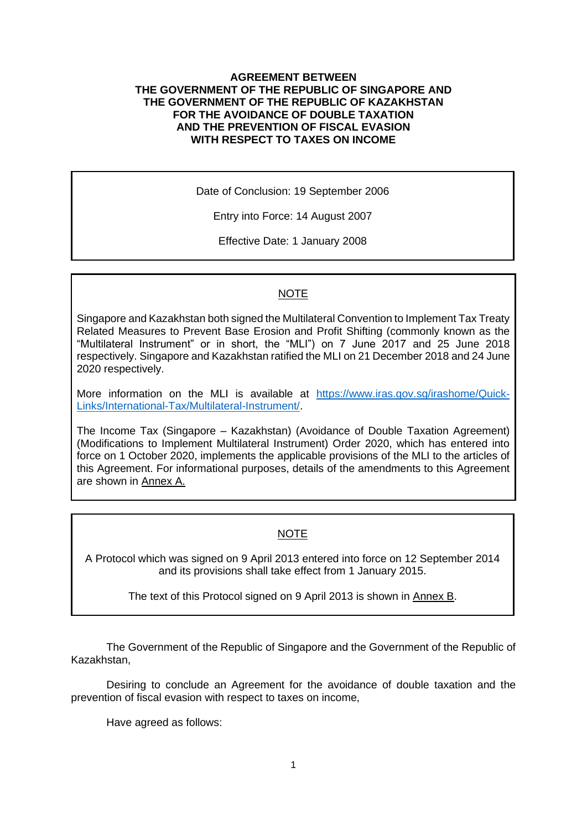#### **AGREEMENT BETWEEN THE GOVERNMENT OF THE REPUBLIC OF SINGAPORE AND THE GOVERNMENT OF THE REPUBLIC OF KAZAKHSTAN FOR THE AVOIDANCE OF DOUBLE TAXATION AND THE PREVENTION OF FISCAL EVASION WITH RESPECT TO TAXES ON INCOME**

Date of Conclusion: 19 September 2006

Entry into Force: 14 August 2007

Effective Date: 1 January 2008

## NOTE

Singapore and Kazakhstan both signed the Multilateral Convention to Implement Tax Treaty Related Measures to Prevent Base Erosion and Profit Shifting (commonly known as the "Multilateral Instrument" or in short, the "MLI") on 7 June 2017 and 25 June 2018 respectively. Singapore and Kazakhstan ratified the MLI on 21 December 2018 and 24 June 2020 respectively.

More information on the MLI is available at [https://www.iras.gov.sg/irashome/Quick-](https://www.iras.gov.sg/irashome/Quick-Links/International-Tax/Multilateral-Instrument/)[Links/International-Tax/Multilateral-Instrument/.](https://www.iras.gov.sg/irashome/Quick-Links/International-Tax/Multilateral-Instrument/)

The Income Tax (Singapore – Kazakhstan) (Avoidance of Double Taxation Agreement) (Modifications to Implement Multilateral Instrument) Order 2020, which has entered into force on 1 October 2020, implements the applicable provisions of the MLI to the articles of this Agreement. For informational purposes, details of the amendments to this Agreement are shown in Annex A.

## NOTE

A Protocol which was signed on 9 April 2013 entered into force on 12 September 2014 and its provisions shall take effect from 1 January 2015.

The text of this Protocol signed on 9 April 2013 is shown in Annex B.

The Government of the Republic of Singapore and the Government of the Republic of Kazakhstan,

Desiring to conclude an Agreement for the avoidance of double taxation and the prevention of fiscal evasion with respect to taxes on income,

Have agreed as follows: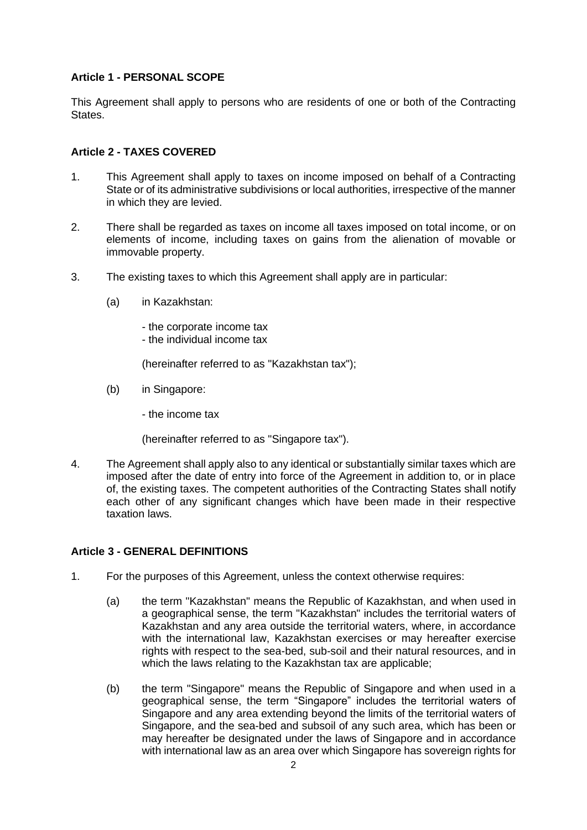#### **Article 1 - PERSONAL SCOPE**

This Agreement shall apply to persons who are residents of one or both of the Contracting States.

## **Article 2 - TAXES COVERED**

- 1. This Agreement shall apply to taxes on income imposed on behalf of a Contracting State or of its administrative subdivisions or local authorities, irrespective of the manner in which they are levied.
- 2. There shall be regarded as taxes on income all taxes imposed on total income, or on elements of income, including taxes on gains from the alienation of movable or immovable property.
- 3. The existing taxes to which this Agreement shall apply are in particular:
	- (a) in Kazakhstan:
		- the corporate income tax
		- the individual income tax

(hereinafter referred to as "Kazakhstan tax");

- (b) in Singapore:
	- the income tax

(hereinafter referred to as "Singapore tax").

4. The Agreement shall apply also to any identical or substantially similar taxes which are imposed after the date of entry into force of the Agreement in addition to, or in place of, the existing taxes. The competent authorities of the Contracting States shall notify each other of any significant changes which have been made in their respective taxation laws.

## **Article 3 - GENERAL DEFINITIONS**

- 1. For the purposes of this Agreement, unless the context otherwise requires:
	- (a) the term "Kazakhstan" means the Republic of Kazakhstan, and when used in a geographical sense, the term "Kazakhstan" includes the territorial waters of Kazakhstan and any area outside the territorial waters, where, in accordance with the international law, Kazakhstan exercises or may hereafter exercise rights with respect to the sea-bed, sub-soil and their natural resources, and in which the laws relating to the Kazakhstan tax are applicable;
	- (b) the term "Singapore" means the Republic of Singapore and when used in a geographical sense, the term "Singapore" includes the territorial waters of Singapore and any area extending beyond the limits of the territorial waters of Singapore, and the sea-bed and subsoil of any such area, which has been or may hereafter be designated under the laws of Singapore and in accordance with international law as an area over which Singapore has sovereign rights for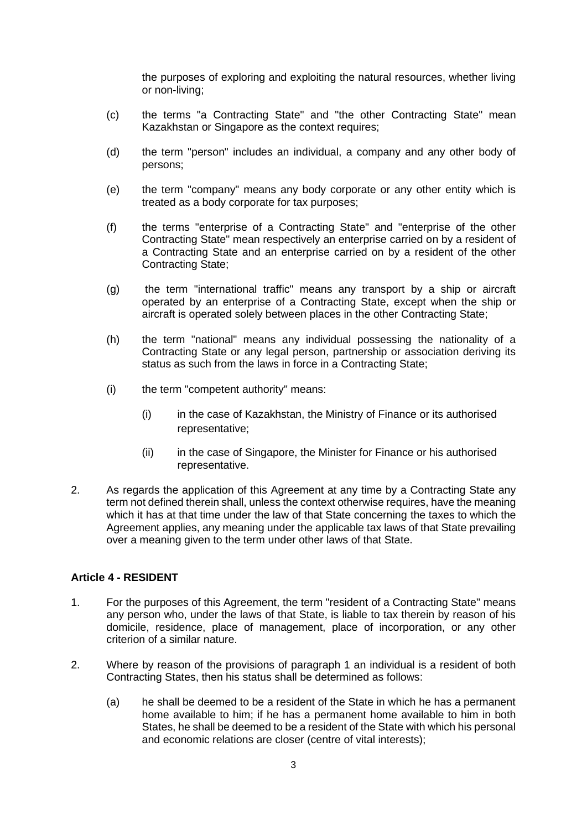the purposes of exploring and exploiting the natural resources, whether living or non-living;

- (c) the terms "a Contracting State" and "the other Contracting State" mean Kazakhstan or Singapore as the context requires;
- (d) the term "person" includes an individual, a company and any other body of persons;
- (e) the term "company" means any body corporate or any other entity which is treated as a body corporate for tax purposes;
- (f) the terms "enterprise of a Contracting State" and "enterprise of the other Contracting State" mean respectively an enterprise carried on by a resident of a Contracting State and an enterprise carried on by a resident of the other Contracting State;
- (g) the term "international traffic" means any transport by a ship or aircraft operated by an enterprise of a Contracting State, except when the ship or aircraft is operated solely between places in the other Contracting State;
- (h) the term "national" means any individual possessing the nationality of a Contracting State or any legal person, partnership or association deriving its status as such from the laws in force in a Contracting State;
- (i) the term "competent authority" means:
	- (i) in the case of Kazakhstan, the Ministry of Finance or its authorised representative;
	- (ii) in the case of Singapore, the Minister for Finance or his authorised representative.
- 2. As regards the application of this Agreement at any time by a Contracting State any term not defined therein shall, unless the context otherwise requires, have the meaning which it has at that time under the law of that State concerning the taxes to which the Agreement applies, any meaning under the applicable tax laws of that State prevailing over a meaning given to the term under other laws of that State.

## **Article 4 - RESIDENT**

- 1. For the purposes of this Agreement, the term "resident of a Contracting State" means any person who, under the laws of that State, is liable to tax therein by reason of his domicile, residence, place of management, place of incorporation, or any other criterion of a similar nature.
- 2. Where by reason of the provisions of paragraph 1 an individual is a resident of both Contracting States, then his status shall be determined as follows:
	- (a) he shall be deemed to be a resident of the State in which he has a permanent home available to him; if he has a permanent home available to him in both States, he shall be deemed to be a resident of the State with which his personal and economic relations are closer (centre of vital interests);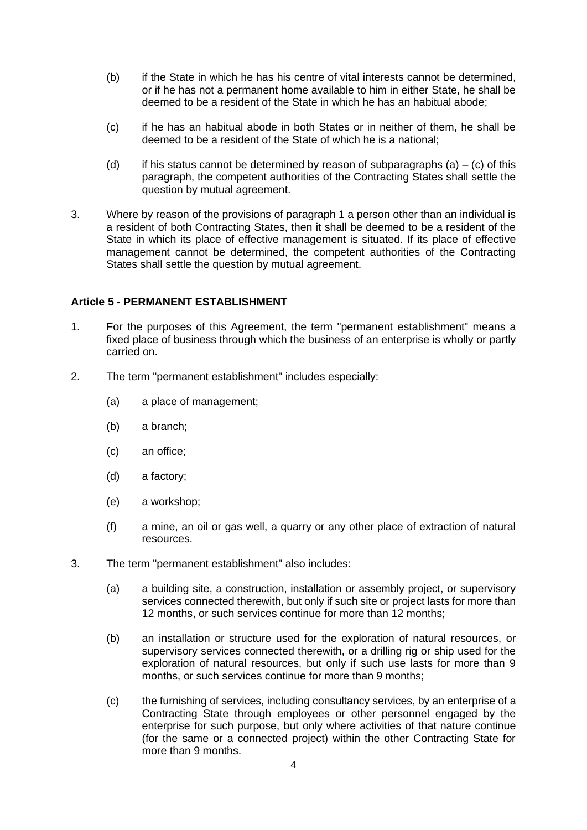- (b) if the State in which he has his centre of vital interests cannot be determined, or if he has not a permanent home available to him in either State, he shall be deemed to be a resident of the State in which he has an habitual abode;
- (c) if he has an habitual abode in both States or in neither of them, he shall be deemed to be a resident of the State of which he is a national;
- (d) if his status cannot be determined by reason of subparagraphs (a) (c) of this paragraph, the competent authorities of the Contracting States shall settle the question by mutual agreement.
- 3. Where by reason of the provisions of paragraph 1 a person other than an individual is a resident of both Contracting States, then it shall be deemed to be a resident of the State in which its place of effective management is situated. If its place of effective management cannot be determined, the competent authorities of the Contracting States shall settle the question by mutual agreement.

#### **Article 5 - PERMANENT ESTABLISHMENT**

- 1. For the purposes of this Agreement, the term "permanent establishment" means a fixed place of business through which the business of an enterprise is wholly or partly carried on.
- 2. The term "permanent establishment" includes especially:
	- (a) a place of management;
	- (b) a branch;
	- (c) an office;
	- (d) a factory;
	- (e) a workshop;
	- (f) a mine, an oil or gas well, a quarry or any other place of extraction of natural resources.
- 3. The term "permanent establishment" also includes:
	- (a) a building site, a construction, installation or assembly project, or supervisory services connected therewith, but only if such site or project lasts for more than 12 months, or such services continue for more than 12 months;
	- (b) an installation or structure used for the exploration of natural resources, or supervisory services connected therewith, or a drilling rig or ship used for the exploration of natural resources, but only if such use lasts for more than 9 months, or such services continue for more than 9 months;
	- (c) the furnishing of services, including consultancy services, by an enterprise of a Contracting State through employees or other personnel engaged by the enterprise for such purpose, but only where activities of that nature continue (for the same or a connected project) within the other Contracting State for more than 9 months.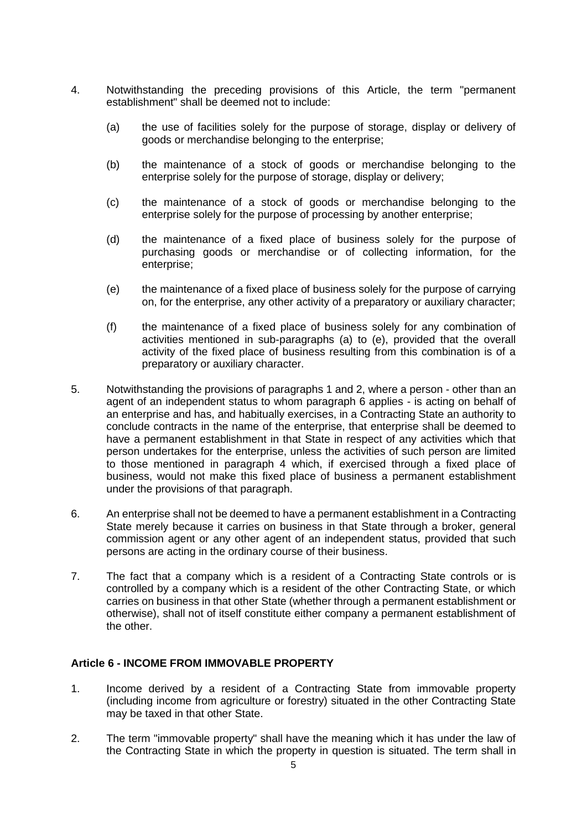- 4. Notwithstanding the preceding provisions of this Article, the term "permanent establishment" shall be deemed not to include:
	- (a) the use of facilities solely for the purpose of storage, display or delivery of goods or merchandise belonging to the enterprise;
	- (b) the maintenance of a stock of goods or merchandise belonging to the enterprise solely for the purpose of storage, display or delivery;
	- (c) the maintenance of a stock of goods or merchandise belonging to the enterprise solely for the purpose of processing by another enterprise;
	- (d) the maintenance of a fixed place of business solely for the purpose of purchasing goods or merchandise or of collecting information, for the enterprise;
	- (e) the maintenance of a fixed place of business solely for the purpose of carrying on, for the enterprise, any other activity of a preparatory or auxiliary character;
	- (f) the maintenance of a fixed place of business solely for any combination of activities mentioned in sub-paragraphs (a) to (e), provided that the overall activity of the fixed place of business resulting from this combination is of a preparatory or auxiliary character.
- 5. Notwithstanding the provisions of paragraphs 1 and 2, where a person other than an agent of an independent status to whom paragraph 6 applies - is acting on behalf of an enterprise and has, and habitually exercises, in a Contracting State an authority to conclude contracts in the name of the enterprise, that enterprise shall be deemed to have a permanent establishment in that State in respect of any activities which that person undertakes for the enterprise, unless the activities of such person are limited to those mentioned in paragraph 4 which, if exercised through a fixed place of business, would not make this fixed place of business a permanent establishment under the provisions of that paragraph.
- 6. An enterprise shall not be deemed to have a permanent establishment in a Contracting State merely because it carries on business in that State through a broker, general commission agent or any other agent of an independent status, provided that such persons are acting in the ordinary course of their business.
- 7. The fact that a company which is a resident of a Contracting State controls or is controlled by a company which is a resident of the other Contracting State, or which carries on business in that other State (whether through a permanent establishment or otherwise), shall not of itself constitute either company a permanent establishment of the other.

## **Article 6 - INCOME FROM IMMOVABLE PROPERTY**

- 1. Income derived by a resident of a Contracting State from immovable property (including income from agriculture or forestry) situated in the other Contracting State may be taxed in that other State.
- 2. The term "immovable property" shall have the meaning which it has under the law of the Contracting State in which the property in question is situated. The term shall in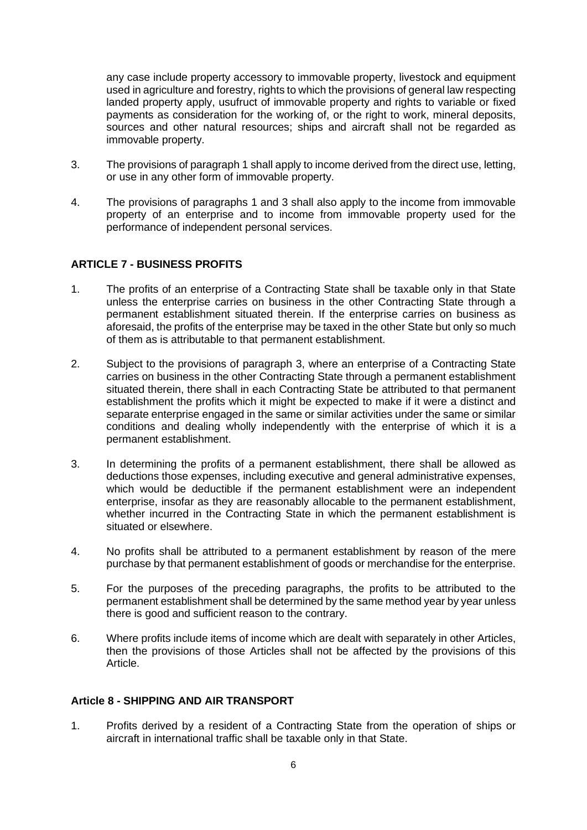any case include property accessory to immovable property, livestock and equipment used in agriculture and forestry, rights to which the provisions of general law respecting landed property apply, usufruct of immovable property and rights to variable or fixed payments as consideration for the working of, or the right to work, mineral deposits, sources and other natural resources; ships and aircraft shall not be regarded as immovable property.

- 3. The provisions of paragraph 1 shall apply to income derived from the direct use, letting, or use in any other form of immovable property.
- 4. The provisions of paragraphs 1 and 3 shall also apply to the income from immovable property of an enterprise and to income from immovable property used for the performance of independent personal services.

## **ARTICLE 7 - BUSINESS PROFITS**

- 1. The profits of an enterprise of a Contracting State shall be taxable only in that State unless the enterprise carries on business in the other Contracting State through a permanent establishment situated therein. If the enterprise carries on business as aforesaid, the profits of the enterprise may be taxed in the other State but only so much of them as is attributable to that permanent establishment.
- 2. Subject to the provisions of paragraph 3, where an enterprise of a Contracting State carries on business in the other Contracting State through a permanent establishment situated therein, there shall in each Contracting State be attributed to that permanent establishment the profits which it might be expected to make if it were a distinct and separate enterprise engaged in the same or similar activities under the same or similar conditions and dealing wholly independently with the enterprise of which it is a permanent establishment.
- 3. In determining the profits of a permanent establishment, there shall be allowed as deductions those expenses, including executive and general administrative expenses, which would be deductible if the permanent establishment were an independent enterprise, insofar as they are reasonably allocable to the permanent establishment, whether incurred in the Contracting State in which the permanent establishment is situated or elsewhere.
- 4. No profits shall be attributed to a permanent establishment by reason of the mere purchase by that permanent establishment of goods or merchandise for the enterprise.
- 5. For the purposes of the preceding paragraphs, the profits to be attributed to the permanent establishment shall be determined by the same method year by year unless there is good and sufficient reason to the contrary.
- 6. Where profits include items of income which are dealt with separately in other Articles, then the provisions of those Articles shall not be affected by the provisions of this Article.

## **Article 8 - SHIPPING AND AIR TRANSPORT**

1. Profits derived by a resident of a Contracting State from the operation of ships or aircraft in international traffic shall be taxable only in that State.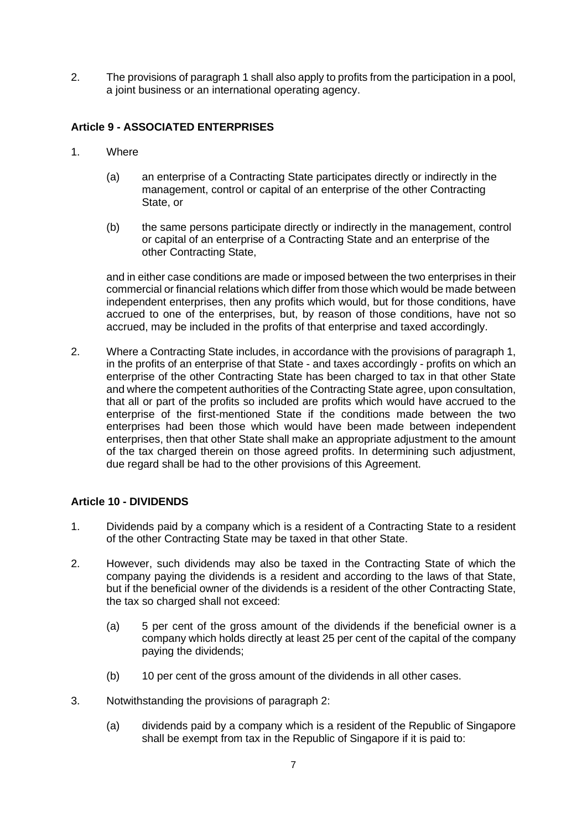2. The provisions of paragraph 1 shall also apply to profits from the participation in a pool, a joint business or an international operating agency.

## **Article 9 - ASSOCIATED ENTERPRISES**

- 1. Where
	- (a) an enterprise of a Contracting State participates directly or indirectly in the management, control or capital of an enterprise of the other Contracting State, or
	- (b) the same persons participate directly or indirectly in the management, control or capital of an enterprise of a Contracting State and an enterprise of the other Contracting State,

and in either case conditions are made or imposed between the two enterprises in their commercial or financial relations which differ from those which would be made between independent enterprises, then any profits which would, but for those conditions, have accrued to one of the enterprises, but, by reason of those conditions, have not so accrued, may be included in the profits of that enterprise and taxed accordingly.

2. Where a Contracting State includes, in accordance with the provisions of paragraph 1, in the profits of an enterprise of that State - and taxes accordingly - profits on which an enterprise of the other Contracting State has been charged to tax in that other State and where the competent authorities of the Contracting State agree, upon consultation, that all or part of the profits so included are profits which would have accrued to the enterprise of the first-mentioned State if the conditions made between the two enterprises had been those which would have been made between independent enterprises, then that other State shall make an appropriate adjustment to the amount of the tax charged therein on those agreed profits. In determining such adjustment, due regard shall be had to the other provisions of this Agreement.

## **Article 10 - DIVIDENDS**

- 1. Dividends paid by a company which is a resident of a Contracting State to a resident of the other Contracting State may be taxed in that other State.
- 2. However, such dividends may also be taxed in the Contracting State of which the company paying the dividends is a resident and according to the laws of that State, but if the beneficial owner of the dividends is a resident of the other Contracting State, the tax so charged shall not exceed:
	- (a) 5 per cent of the gross amount of the dividends if the beneficial owner is a company which holds directly at least 25 per cent of the capital of the company paying the dividends;
	- (b) 10 per cent of the gross amount of the dividends in all other cases.
- 3. Notwithstanding the provisions of paragraph 2:
	- (a) dividends paid by a company which is a resident of the Republic of Singapore shall be exempt from tax in the Republic of Singapore if it is paid to: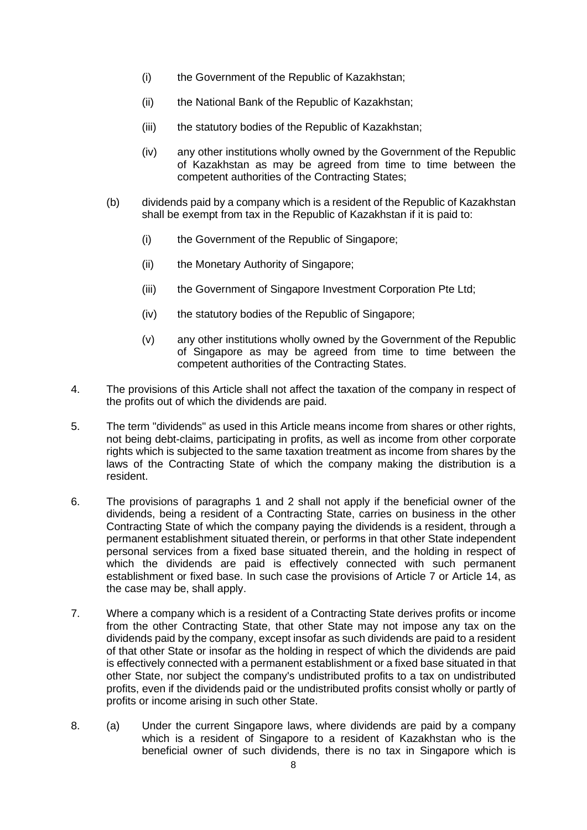- (i) the Government of the Republic of Kazakhstan;
- (ii) the National Bank of the Republic of Kazakhstan;
- (iii) the statutory bodies of the Republic of Kazakhstan;
- (iv) any other institutions wholly owned by the Government of the Republic of Kazakhstan as may be agreed from time to time between the competent authorities of the Contracting States;
- (b) dividends paid by a company which is a resident of the Republic of Kazakhstan shall be exempt from tax in the Republic of Kazakhstan if it is paid to:
	- (i) the Government of the Republic of Singapore;
	- (ii) the Monetary Authority of Singapore;
	- (iii) the Government of Singapore Investment Corporation Pte Ltd;
	- (iv) the statutory bodies of the Republic of Singapore;
	- (v) any other institutions wholly owned by the Government of the Republic of Singapore as may be agreed from time to time between the competent authorities of the Contracting States.
- 4. The provisions of this Article shall not affect the taxation of the company in respect of the profits out of which the dividends are paid.
- 5. The term "dividends" as used in this Article means income from shares or other rights, not being debt-claims, participating in profits, as well as income from other corporate rights which is subjected to the same taxation treatment as income from shares by the laws of the Contracting State of which the company making the distribution is a resident.
- 6. The provisions of paragraphs 1 and 2 shall not apply if the beneficial owner of the dividends, being a resident of a Contracting State, carries on business in the other Contracting State of which the company paying the dividends is a resident, through a permanent establishment situated therein, or performs in that other State independent personal services from a fixed base situated therein, and the holding in respect of which the dividends are paid is effectively connected with such permanent establishment or fixed base. In such case the provisions of Article 7 or Article 14, as the case may be, shall apply.
- 7. Where a company which is a resident of a Contracting State derives profits or income from the other Contracting State, that other State may not impose any tax on the dividends paid by the company, except insofar as such dividends are paid to a resident of that other State or insofar as the holding in respect of which the dividends are paid is effectively connected with a permanent establishment or a fixed base situated in that other State, nor subject the company's undistributed profits to a tax on undistributed profits, even if the dividends paid or the undistributed profits consist wholly or partly of profits or income arising in such other State.
- 8. (a) Under the current Singapore laws, where dividends are paid by a company which is a resident of Singapore to a resident of Kazakhstan who is the beneficial owner of such dividends, there is no tax in Singapore which is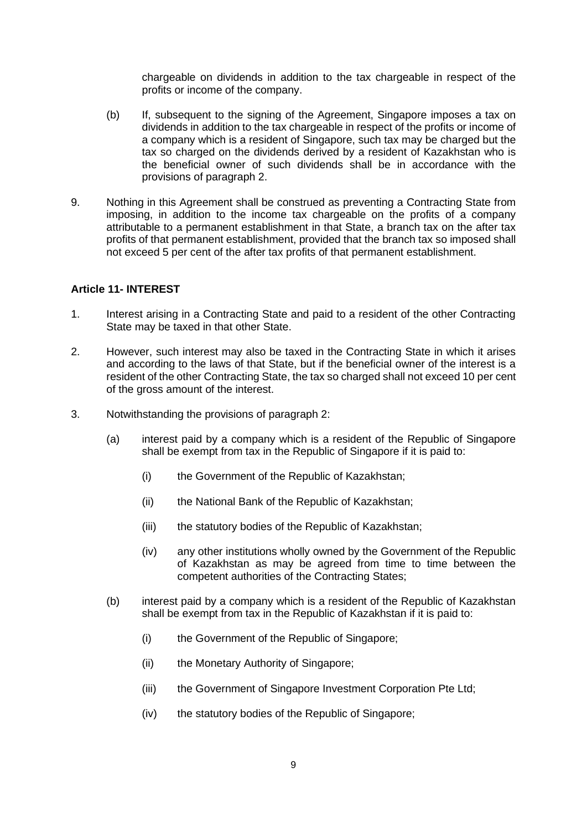chargeable on dividends in addition to the tax chargeable in respect of the profits or income of the company.

- (b) If, subsequent to the signing of the Agreement, Singapore imposes a tax on dividends in addition to the tax chargeable in respect of the profits or income of a company which is a resident of Singapore, such tax may be charged but the tax so charged on the dividends derived by a resident of Kazakhstan who is the beneficial owner of such dividends shall be in accordance with the provisions of paragraph 2.
- 9. Nothing in this Agreement shall be construed as preventing a Contracting State from imposing, in addition to the income tax chargeable on the profits of a company attributable to a permanent establishment in that State, a branch tax on the after tax profits of that permanent establishment, provided that the branch tax so imposed shall not exceed 5 per cent of the after tax profits of that permanent establishment.

#### **Article 11- INTEREST**

- 1. Interest arising in a Contracting State and paid to a resident of the other Contracting State may be taxed in that other State.
- 2. However, such interest may also be taxed in the Contracting State in which it arises and according to the laws of that State, but if the beneficial owner of the interest is a resident of the other Contracting State, the tax so charged shall not exceed 10 per cent of the gross amount of the interest.
- 3. Notwithstanding the provisions of paragraph 2:
	- (a) interest paid by a company which is a resident of the Republic of Singapore shall be exempt from tax in the Republic of Singapore if it is paid to:
		- (i) the Government of the Republic of Kazakhstan;
		- (ii) the National Bank of the Republic of Kazakhstan;
		- (iii) the statutory bodies of the Republic of Kazakhstan;
		- (iv) any other institutions wholly owned by the Government of the Republic of Kazakhstan as may be agreed from time to time between the competent authorities of the Contracting States;
	- (b) interest paid by a company which is a resident of the Republic of Kazakhstan shall be exempt from tax in the Republic of Kazakhstan if it is paid to:
		- (i) the Government of the Republic of Singapore;
		- (ii) the Monetary Authority of Singapore;
		- (iii) the Government of Singapore Investment Corporation Pte Ltd;
		- (iv) the statutory bodies of the Republic of Singapore;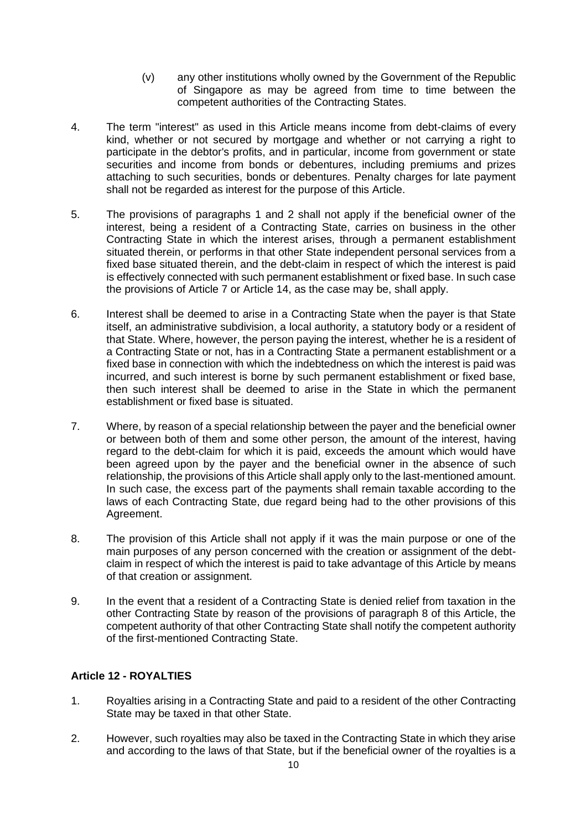- (v) any other institutions wholly owned by the Government of the Republic of Singapore as may be agreed from time to time between the competent authorities of the Contracting States.
- 4. The term "interest" as used in this Article means income from debt-claims of every kind, whether or not secured by mortgage and whether or not carrying a right to participate in the debtor's profits, and in particular, income from government or state securities and income from bonds or debentures, including premiums and prizes attaching to such securities, bonds or debentures. Penalty charges for late payment shall not be regarded as interest for the purpose of this Article.
- 5. The provisions of paragraphs 1 and 2 shall not apply if the beneficial owner of the interest, being a resident of a Contracting State, carries on business in the other Contracting State in which the interest arises, through a permanent establishment situated therein, or performs in that other State independent personal services from a fixed base situated therein, and the debt-claim in respect of which the interest is paid is effectively connected with such permanent establishment or fixed base. In such case the provisions of Article 7 or Article 14, as the case may be, shall apply.
- 6. Interest shall be deemed to arise in a Contracting State when the payer is that State itself, an administrative subdivision, a local authority, a statutory body or a resident of that State. Where, however, the person paying the interest, whether he is a resident of a Contracting State or not, has in a Contracting State a permanent establishment or a fixed base in connection with which the indebtedness on which the interest is paid was incurred, and such interest is borne by such permanent establishment or fixed base, then such interest shall be deemed to arise in the State in which the permanent establishment or fixed base is situated.
- 7. Where, by reason of a special relationship between the payer and the beneficial owner or between both of them and some other person, the amount of the interest, having regard to the debt-claim for which it is paid, exceeds the amount which would have been agreed upon by the payer and the beneficial owner in the absence of such relationship, the provisions of this Article shall apply only to the last-mentioned amount. In such case, the excess part of the payments shall remain taxable according to the laws of each Contracting State, due regard being had to the other provisions of this Agreement.
- 8. The provision of this Article shall not apply if it was the main purpose or one of the main purposes of any person concerned with the creation or assignment of the debtclaim in respect of which the interest is paid to take advantage of this Article by means of that creation or assignment.
- 9. In the event that a resident of a Contracting State is denied relief from taxation in the other Contracting State by reason of the provisions of paragraph 8 of this Article, the competent authority of that other Contracting State shall notify the competent authority of the first-mentioned Contracting State.

## **Article 12 - ROYALTIES**

- 1. Royalties arising in a Contracting State and paid to a resident of the other Contracting State may be taxed in that other State.
- 2. However, such royalties may also be taxed in the Contracting State in which they arise and according to the laws of that State, but if the beneficial owner of the royalties is a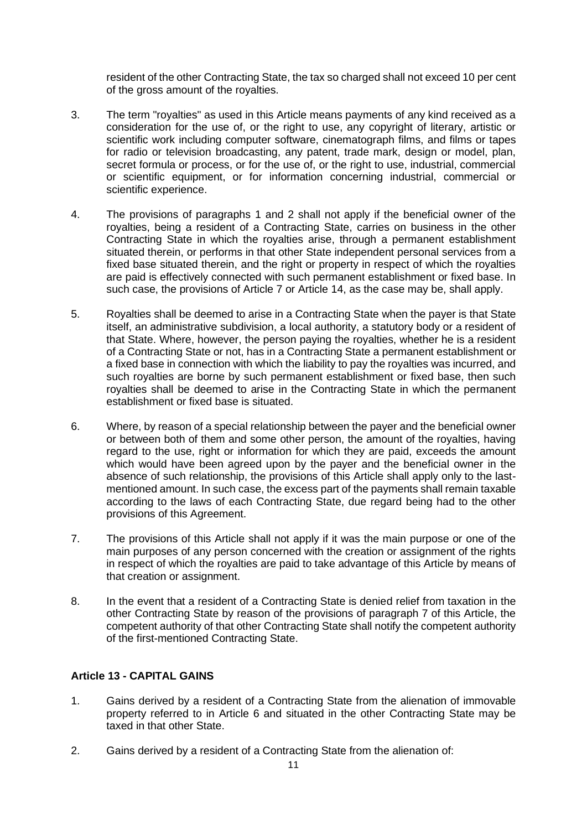resident of the other Contracting State, the tax so charged shall not exceed 10 per cent of the gross amount of the royalties.

- 3. The term "royalties" as used in this Article means payments of any kind received as a consideration for the use of, or the right to use, any copyright of literary, artistic or scientific work including computer software, cinematograph films, and films or tapes for radio or television broadcasting, any patent, trade mark, design or model, plan, secret formula or process, or for the use of, or the right to use, industrial, commercial or scientific equipment, or for information concerning industrial, commercial or scientific experience.
- 4. The provisions of paragraphs 1 and 2 shall not apply if the beneficial owner of the royalties, being a resident of a Contracting State, carries on business in the other Contracting State in which the royalties arise, through a permanent establishment situated therein, or performs in that other State independent personal services from a fixed base situated therein, and the right or property in respect of which the royalties are paid is effectively connected with such permanent establishment or fixed base. In such case, the provisions of Article 7 or Article 14, as the case may be, shall apply.
- 5. Royalties shall be deemed to arise in a Contracting State when the payer is that State itself, an administrative subdivision, a local authority, a statutory body or a resident of that State. Where, however, the person paying the royalties, whether he is a resident of a Contracting State or not, has in a Contracting State a permanent establishment or a fixed base in connection with which the liability to pay the royalties was incurred, and such royalties are borne by such permanent establishment or fixed base, then such royalties shall be deemed to arise in the Contracting State in which the permanent establishment or fixed base is situated.
- 6. Where, by reason of a special relationship between the payer and the beneficial owner or between both of them and some other person, the amount of the royalties, having regard to the use, right or information for which they are paid, exceeds the amount which would have been agreed upon by the payer and the beneficial owner in the absence of such relationship, the provisions of this Article shall apply only to the lastmentioned amount. In such case, the excess part of the payments shall remain taxable according to the laws of each Contracting State, due regard being had to the other provisions of this Agreement.
- 7. The provisions of this Article shall not apply if it was the main purpose or one of the main purposes of any person concerned with the creation or assignment of the rights in respect of which the royalties are paid to take advantage of this Article by means of that creation or assignment.
- 8. In the event that a resident of a Contracting State is denied relief from taxation in the other Contracting State by reason of the provisions of paragraph 7 of this Article, the competent authority of that other Contracting State shall notify the competent authority of the first-mentioned Contracting State.

## **Article 13 - CAPITAL GAINS**

- 1. Gains derived by a resident of a Contracting State from the alienation of immovable property referred to in Article 6 and situated in the other Contracting State may be taxed in that other State.
- 2. Gains derived by a resident of a Contracting State from the alienation of: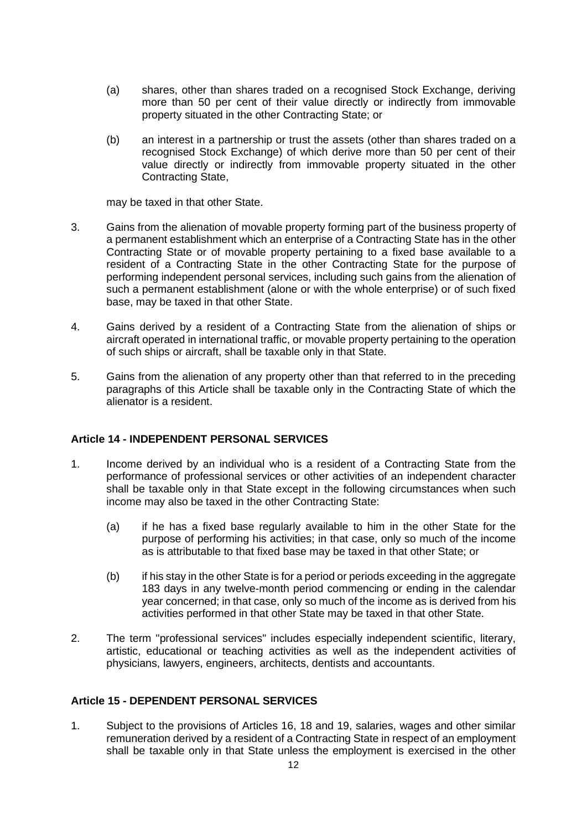- (a) shares, other than shares traded on a recognised Stock Exchange, deriving more than 50 per cent of their value directly or indirectly from immovable property situated in the other Contracting State; or
- (b) an interest in a partnership or trust the assets (other than shares traded on a recognised Stock Exchange) of which derive more than 50 per cent of their value directly or indirectly from immovable property situated in the other Contracting State,

may be taxed in that other State.

- 3. Gains from the alienation of movable property forming part of the business property of a permanent establishment which an enterprise of a Contracting State has in the other Contracting State or of movable property pertaining to a fixed base available to a resident of a Contracting State in the other Contracting State for the purpose of performing independent personal services, including such gains from the alienation of such a permanent establishment (alone or with the whole enterprise) or of such fixed base, may be taxed in that other State.
- 4. Gains derived by a resident of a Contracting State from the alienation of ships or aircraft operated in international traffic, or movable property pertaining to the operation of such ships or aircraft, shall be taxable only in that State.
- 5. Gains from the alienation of any property other than that referred to in the preceding paragraphs of this Article shall be taxable only in the Contracting State of which the alienator is a resident.

## **Article 14 - INDEPENDENT PERSONAL SERVICES**

- 1. Income derived by an individual who is a resident of a Contracting State from the performance of professional services or other activities of an independent character shall be taxable only in that State except in the following circumstances when such income may also be taxed in the other Contracting State:
	- (a) if he has a fixed base regularly available to him in the other State for the purpose of performing his activities; in that case, only so much of the income as is attributable to that fixed base may be taxed in that other State; or
	- (b) if his stay in the other State is for a period or periods exceeding in the aggregate 183 days in any twelve-month period commencing or ending in the calendar year concerned; in that case, only so much of the income as is derived from his activities performed in that other State may be taxed in that other State.
- 2. The term "professional services" includes especially independent scientific, literary, artistic, educational or teaching activities as well as the independent activities of physicians, lawyers, engineers, architects, dentists and accountants.

## **Article 15 - DEPENDENT PERSONAL SERVICES**

1. Subject to the provisions of Articles 16, 18 and 19, salaries, wages and other similar remuneration derived by a resident of a Contracting State in respect of an employment shall be taxable only in that State unless the employment is exercised in the other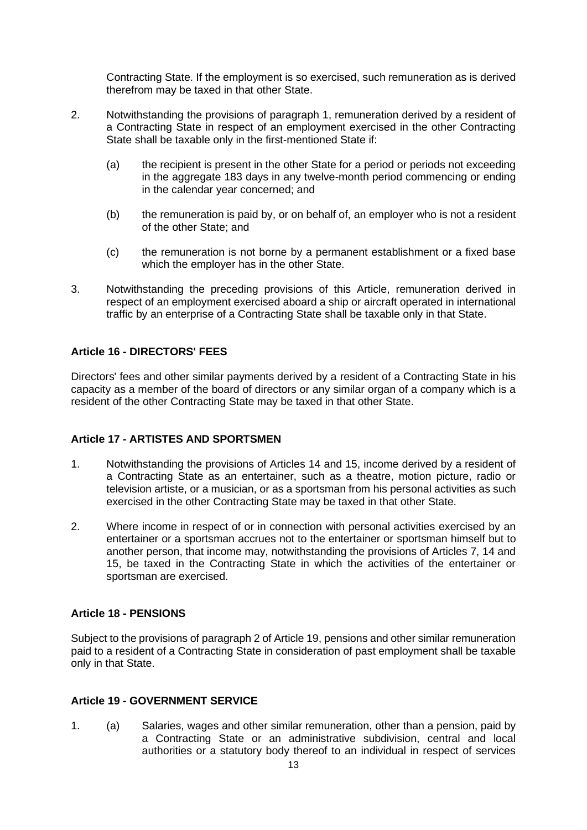Contracting State. If the employment is so exercised, such remuneration as is derived therefrom may be taxed in that other State.

- 2. Notwithstanding the provisions of paragraph 1, remuneration derived by a resident of a Contracting State in respect of an employment exercised in the other Contracting State shall be taxable only in the first-mentioned State if:
	- (a) the recipient is present in the other State for a period or periods not exceeding in the aggregate 183 days in any twelve-month period commencing or ending in the calendar year concerned; and
	- (b) the remuneration is paid by, or on behalf of, an employer who is not a resident of the other State; and
	- (c) the remuneration is not borne by a permanent establishment or a fixed base which the employer has in the other State.
- 3. Notwithstanding the preceding provisions of this Article, remuneration derived in respect of an employment exercised aboard a ship or aircraft operated in international traffic by an enterprise of a Contracting State shall be taxable only in that State.

## **Article 16 - DIRECTORS' FEES**

Directors' fees and other similar payments derived by a resident of a Contracting State in his capacity as a member of the board of directors or any similar organ of a company which is a resident of the other Contracting State may be taxed in that other State.

## **Article 17 - ARTISTES AND SPORTSMEN**

- 1. Notwithstanding the provisions of Articles 14 and 15, income derived by a resident of a Contracting State as an entertainer, such as a theatre, motion picture, radio or television artiste, or a musician, or as a sportsman from his personal activities as such exercised in the other Contracting State may be taxed in that other State.
- 2. Where income in respect of or in connection with personal activities exercised by an entertainer or a sportsman accrues not to the entertainer or sportsman himself but to another person, that income may, notwithstanding the provisions of Articles 7, 14 and 15, be taxed in the Contracting State in which the activities of the entertainer or sportsman are exercised.

#### **Article 18 - PENSIONS**

Subject to the provisions of paragraph 2 of Article 19, pensions and other similar remuneration paid to a resident of a Contracting State in consideration of past employment shall be taxable only in that State.

#### **Article 19 - GOVERNMENT SERVICE**

1. (a) Salaries, wages and other similar remuneration, other than a pension, paid by a Contracting State or an administrative subdivision, central and local authorities or a statutory body thereof to an individual in respect of services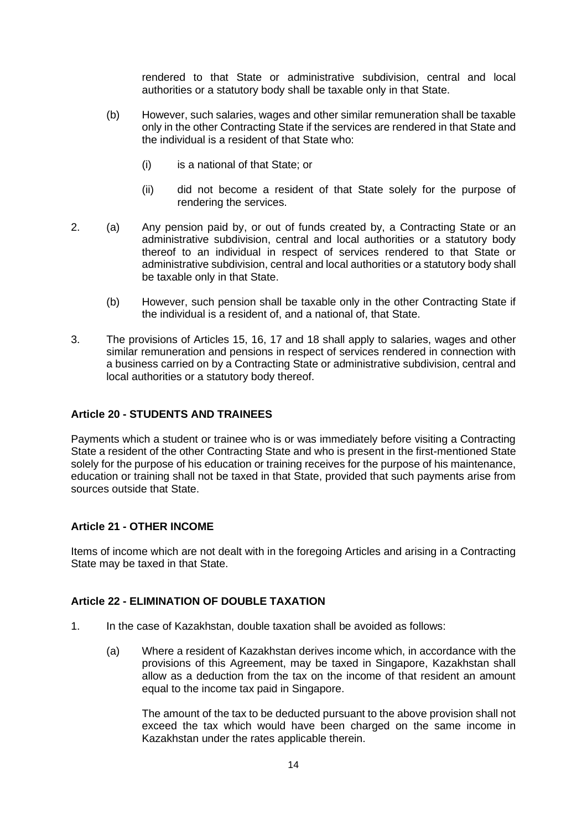rendered to that State or administrative subdivision, central and local authorities or a statutory body shall be taxable only in that State.

- (b) However, such salaries, wages and other similar remuneration shall be taxable only in the other Contracting State if the services are rendered in that State and the individual is a resident of that State who:
	- (i) is a national of that State; or
	- (ii) did not become a resident of that State solely for the purpose of rendering the services.
- 2. (a) Any pension paid by, or out of funds created by, a Contracting State or an administrative subdivision, central and local authorities or a statutory body thereof to an individual in respect of services rendered to that State or administrative subdivision, central and local authorities or a statutory body shall be taxable only in that State.
	- (b) However, such pension shall be taxable only in the other Contracting State if the individual is a resident of, and a national of, that State.
- 3. The provisions of Articles 15, 16, 17 and 18 shall apply to salaries, wages and other similar remuneration and pensions in respect of services rendered in connection with a business carried on by a Contracting State or administrative subdivision, central and local authorities or a statutory body thereof.

## **Article 20 - STUDENTS AND TRAINEES**

Payments which a student or trainee who is or was immediately before visiting a Contracting State a resident of the other Contracting State and who is present in the first-mentioned State solely for the purpose of his education or training receives for the purpose of his maintenance, education or training shall not be taxed in that State, provided that such payments arise from sources outside that State.

#### **Article 21 - OTHER INCOME**

Items of income which are not dealt with in the foregoing Articles and arising in a Contracting State may be taxed in that State.

#### **Article 22 - ELIMINATION OF DOUBLE TAXATION**

- 1. In the case of Kazakhstan, double taxation shall be avoided as follows:
	- (a) Where a resident of Kazakhstan derives income which, in accordance with the provisions of this Agreement, may be taxed in Singapore, Kazakhstan shall allow as a deduction from the tax on the income of that resident an amount equal to the income tax paid in Singapore.

The amount of the tax to be deducted pursuant to the above provision shall not exceed the tax which would have been charged on the same income in Kazakhstan under the rates applicable therein.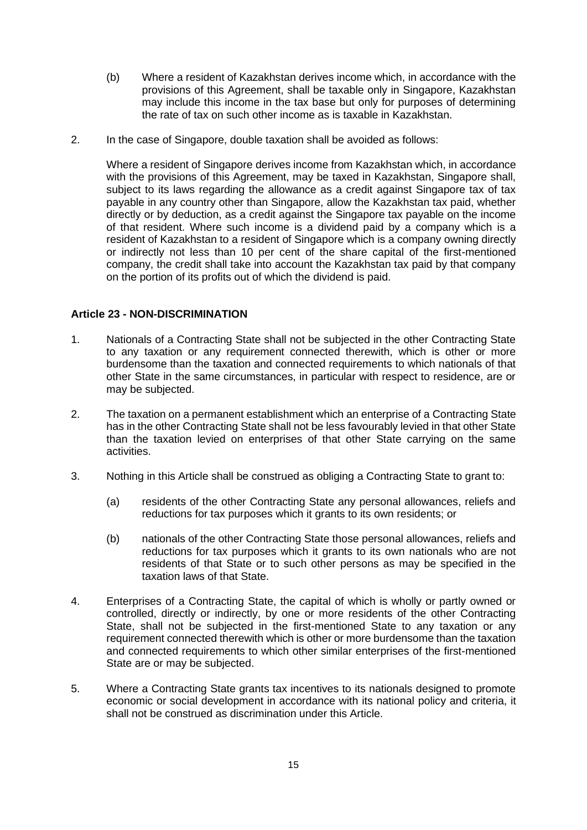- (b) Where a resident of Kazakhstan derives income which, in accordance with the provisions of this Agreement, shall be taxable only in Singapore, Kazakhstan may include this income in the tax base but only for purposes of determining the rate of tax on such other income as is taxable in Kazakhstan.
- 2. In the case of Singapore, double taxation shall be avoided as follows:

Where a resident of Singapore derives income from Kazakhstan which, in accordance with the provisions of this Agreement, may be taxed in Kazakhstan, Singapore shall, subject to its laws regarding the allowance as a credit against Singapore tax of tax payable in any country other than Singapore, allow the Kazakhstan tax paid, whether directly or by deduction, as a credit against the Singapore tax payable on the income of that resident. Where such income is a dividend paid by a company which is a resident of Kazakhstan to a resident of Singapore which is a company owning directly or indirectly not less than 10 per cent of the share capital of the first-mentioned company, the credit shall take into account the Kazakhstan tax paid by that company on the portion of its profits out of which the dividend is paid.

#### **Article 23 - NON-DISCRIMINATION**

- 1. Nationals of a Contracting State shall not be subjected in the other Contracting State to any taxation or any requirement connected therewith, which is other or more burdensome than the taxation and connected requirements to which nationals of that other State in the same circumstances, in particular with respect to residence, are or may be subjected.
- 2. The taxation on a permanent establishment which an enterprise of a Contracting State has in the other Contracting State shall not be less favourably levied in that other State than the taxation levied on enterprises of that other State carrying on the same activities.
- 3. Nothing in this Article shall be construed as obliging a Contracting State to grant to:
	- (a) residents of the other Contracting State any personal allowances, reliefs and reductions for tax purposes which it grants to its own residents; or
	- (b) nationals of the other Contracting State those personal allowances, reliefs and reductions for tax purposes which it grants to its own nationals who are not residents of that State or to such other persons as may be specified in the taxation laws of that State.
- 4. Enterprises of a Contracting State, the capital of which is wholly or partly owned or controlled, directly or indirectly, by one or more residents of the other Contracting State, shall not be subjected in the first-mentioned State to any taxation or any requirement connected therewith which is other or more burdensome than the taxation and connected requirements to which other similar enterprises of the first-mentioned State are or may be subjected.
- 5. Where a Contracting State grants tax incentives to its nationals designed to promote economic or social development in accordance with its national policy and criteria, it shall not be construed as discrimination under this Article.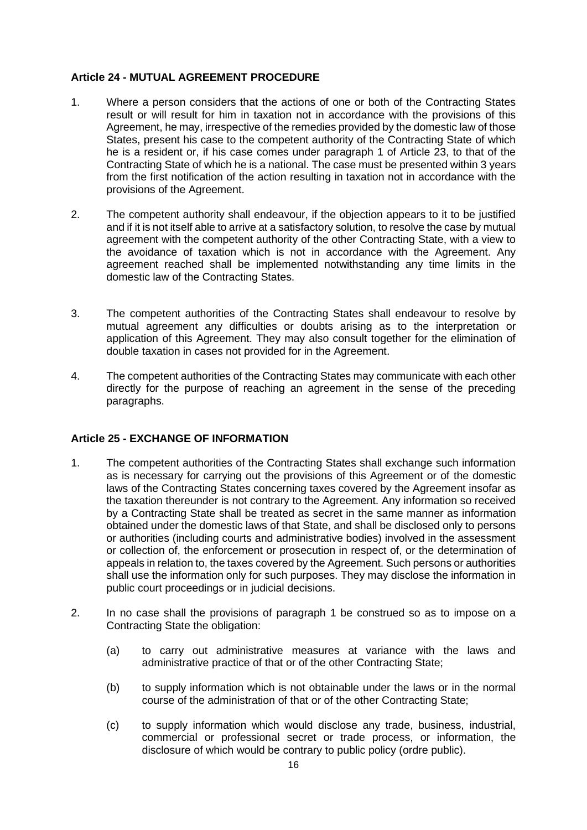#### **Article 24 - MUTUAL AGREEMENT PROCEDURE**

- 1. Where a person considers that the actions of one or both of the Contracting States result or will result for him in taxation not in accordance with the provisions of this Agreement, he may, irrespective of the remedies provided by the domestic law of those States, present his case to the competent authority of the Contracting State of which he is a resident or, if his case comes under paragraph 1 of Article 23, to that of the Contracting State of which he is a national. The case must be presented within 3 years from the first notification of the action resulting in taxation not in accordance with the provisions of the Agreement.
- 2. The competent authority shall endeavour, if the objection appears to it to be justified and if it is not itself able to arrive at a satisfactory solution, to resolve the case by mutual agreement with the competent authority of the other Contracting State, with a view to the avoidance of taxation which is not in accordance with the Agreement. Any agreement reached shall be implemented notwithstanding any time limits in the domestic law of the Contracting States.
- 3. The competent authorities of the Contracting States shall endeavour to resolve by mutual agreement any difficulties or doubts arising as to the interpretation or application of this Agreement. They may also consult together for the elimination of double taxation in cases not provided for in the Agreement.
- 4. The competent authorities of the Contracting States may communicate with each other directly for the purpose of reaching an agreement in the sense of the preceding paragraphs.

## **Article 25 - EXCHANGE OF INFORMATION**

- 1. The competent authorities of the Contracting States shall exchange such information as is necessary for carrying out the provisions of this Agreement or of the domestic laws of the Contracting States concerning taxes covered by the Agreement insofar as the taxation thereunder is not contrary to the Agreement. Any information so received by a Contracting State shall be treated as secret in the same manner as information obtained under the domestic laws of that State, and shall be disclosed only to persons or authorities (including courts and administrative bodies) involved in the assessment or collection of, the enforcement or prosecution in respect of, or the determination of appeals in relation to, the taxes covered by the Agreement. Such persons or authorities shall use the information only for such purposes. They may disclose the information in public court proceedings or in judicial decisions.
- 2. In no case shall the provisions of paragraph 1 be construed so as to impose on a Contracting State the obligation:
	- (a) to carry out administrative measures at variance with the laws and administrative practice of that or of the other Contracting State;
	- (b) to supply information which is not obtainable under the laws or in the normal course of the administration of that or of the other Contracting State;
	- (c) to supply information which would disclose any trade, business, industrial, commercial or professional secret or trade process, or information, the disclosure of which would be contrary to public policy (ordre public).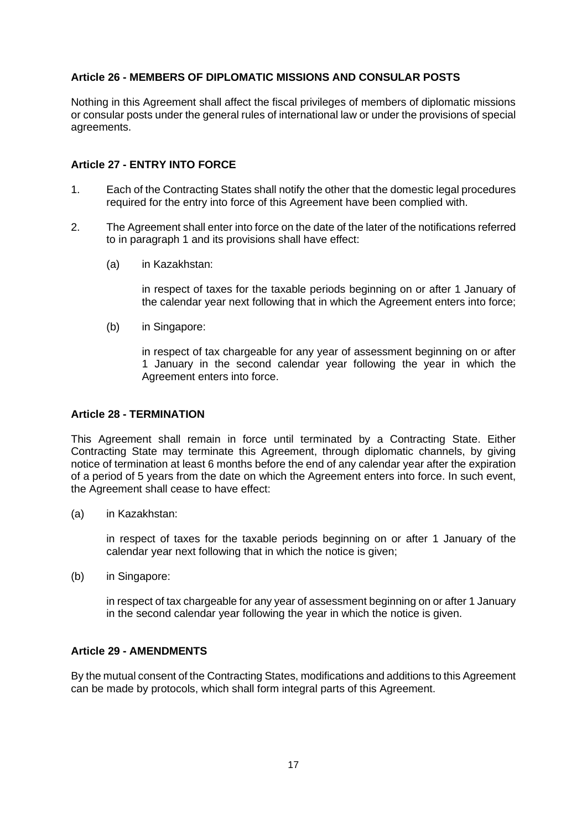## **Article 26 - MEMBERS OF DIPLOMATIC MISSIONS AND CONSULAR POSTS**

Nothing in this Agreement shall affect the fiscal privileges of members of diplomatic missions or consular posts under the general rules of international law or under the provisions of special agreements.

#### **Article 27 - ENTRY INTO FORCE**

- 1. Each of the Contracting States shall notify the other that the domestic legal procedures required for the entry into force of this Agreement have been complied with.
- 2. The Agreement shall enter into force on the date of the later of the notifications referred to in paragraph 1 and its provisions shall have effect:
	- (a) in Kazakhstan:

in respect of taxes for the taxable periods beginning on or after 1 January of the calendar year next following that in which the Agreement enters into force;

(b) in Singapore:

in respect of tax chargeable for any year of assessment beginning on or after 1 January in the second calendar year following the year in which the Agreement enters into force.

#### **Article 28 - TERMINATION**

This Agreement shall remain in force until terminated by a Contracting State. Either Contracting State may terminate this Agreement, through diplomatic channels, by giving notice of termination at least 6 months before the end of any calendar year after the expiration of a period of 5 years from the date on which the Agreement enters into force. In such event, the Agreement shall cease to have effect:

(a) in Kazakhstan:

in respect of taxes for the taxable periods beginning on or after 1 January of the calendar year next following that in which the notice is given;

(b) in Singapore:

in respect of tax chargeable for any year of assessment beginning on or after 1 January in the second calendar year following the year in which the notice is given.

#### **Article 29 - AMENDMENTS**

By the mutual consent of the Contracting States, modifications and additions to this Agreement can be made by protocols, which shall form integral parts of this Agreement.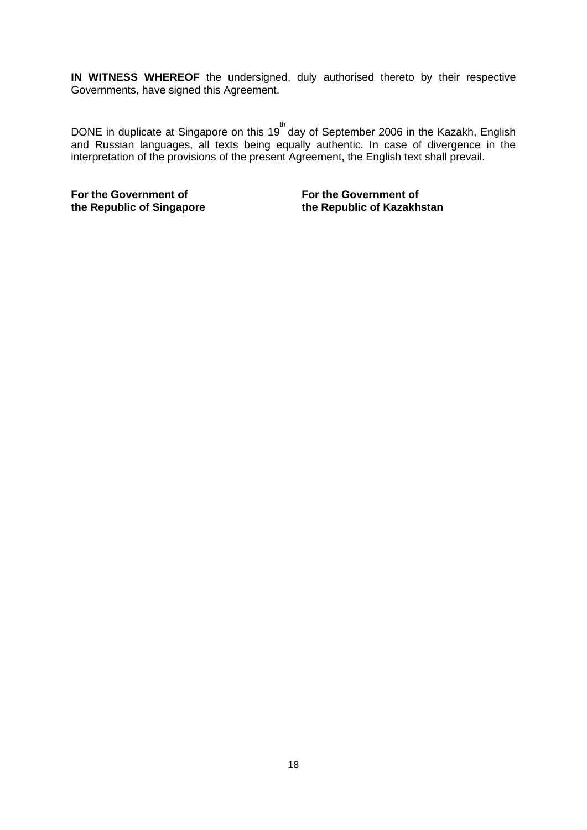**IN WITNESS WHEREOF** the undersigned, duly authorised thereto by their respective Governments, have signed this Agreement.

DONE in duplicate at Singapore on this 19<sup>th</sup> day of September 2006 in the Kazakh, English and Russian languages, all texts being equally authentic. In case of divergence in the interpretation of the provisions of the present Agreement, the English text shall prevail.

the Republic of Singapore

For the Government of<br>
the Republic of Singapore<br> **Example 20 Hostings**<br> **For the Government of<br>
the Republic of Kazakhstan**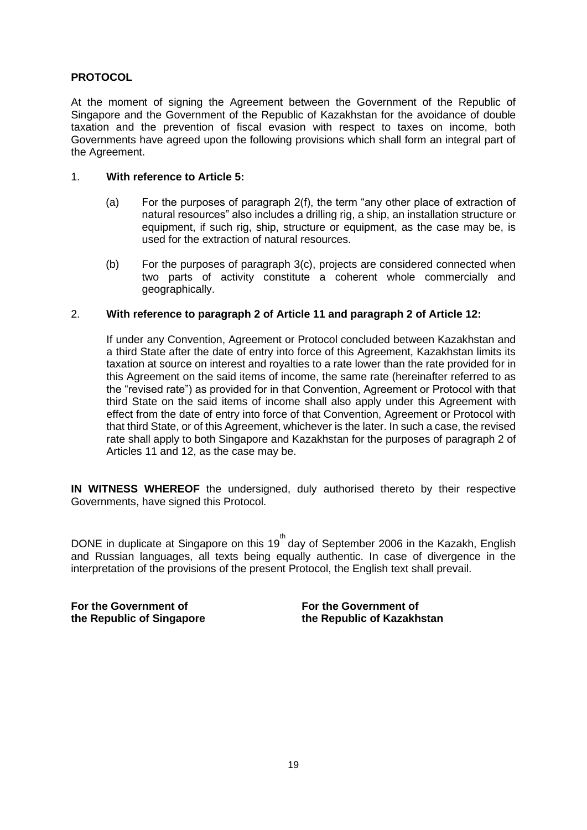#### **PROTOCOL**

At the moment of signing the Agreement between the Government of the Republic of Singapore and the Government of the Republic of Kazakhstan for the avoidance of double taxation and the prevention of fiscal evasion with respect to taxes on income, both Governments have agreed upon the following provisions which shall form an integral part of the Agreement.

#### 1. **With reference to Article 5:**

- (a) For the purposes of paragraph 2(f), the term "any other place of extraction of natural resources" also includes a drilling rig, a ship, an installation structure or equipment, if such rig, ship, structure or equipment, as the case may be, is used for the extraction of natural resources.
- (b) For the purposes of paragraph 3(c), projects are considered connected when two parts of activity constitute a coherent whole commercially and geographically.

## 2. **With reference to paragraph 2 of Article 11 and paragraph 2 of Article 12:**

If under any Convention, Agreement or Protocol concluded between Kazakhstan and a third State after the date of entry into force of this Agreement, Kazakhstan limits its taxation at source on interest and royalties to a rate lower than the rate provided for in this Agreement on the said items of income, the same rate (hereinafter referred to as the "revised rate") as provided for in that Convention, Agreement or Protocol with that third State on the said items of income shall also apply under this Agreement with effect from the date of entry into force of that Convention, Agreement or Protocol with that third State, or of this Agreement, whichever is the later. In such a case, the revised rate shall apply to both Singapore and Kazakhstan for the purposes of paragraph 2 of Articles 11 and 12, as the case may be.

**IN WITNESS WHEREOF** the undersigned, duly authorised thereto by their respective Governments, have signed this Protocol.

DONE in duplicate at Singapore on this 19<sup>th</sup> day of September 2006 in the Kazakh, English and Russian languages, all texts being equally authentic. In case of divergence in the interpretation of the provisions of the present Protocol, the English text shall prevail.

**For the Government of**  For the Government of

**the Republic of Singapore the Republic of Kazakhstan**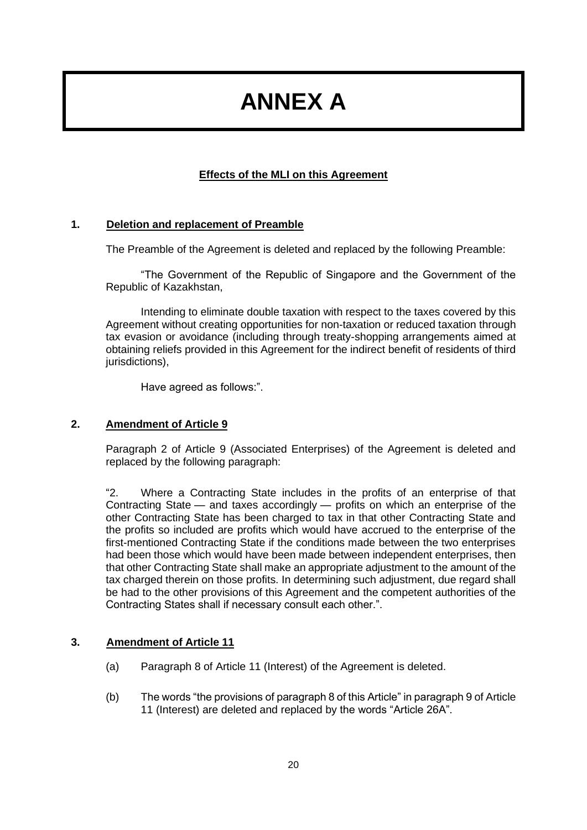# **ANNEX A**

## **Effects of the MLI on this Agreement**

## **1. Deletion and replacement of Preamble**

The Preamble of the Agreement is deleted and replaced by the following Preamble:

"The Government of the Republic of Singapore and the Government of the Republic of Kazakhstan,

Intending to eliminate double taxation with respect to the taxes covered by this Agreement without creating opportunities for non-taxation or reduced taxation through tax evasion or avoidance (including through treaty-shopping arrangements aimed at obtaining reliefs provided in this Agreement for the indirect benefit of residents of third jurisdictions).

Have agreed as follows:".

## **2. Amendment of Article 9**

Paragraph 2 of Article 9 (Associated Enterprises) of the Agreement is deleted and replaced by the following paragraph:

"2. Where a Contracting State includes in the profits of an enterprise of that Contracting State — and taxes accordingly — profits on which an enterprise of the other Contracting State has been charged to tax in that other Contracting State and the profits so included are profits which would have accrued to the enterprise of the first-mentioned Contracting State if the conditions made between the two enterprises had been those which would have been made between independent enterprises, then that other Contracting State shall make an appropriate adjustment to the amount of the tax charged therein on those profits. In determining such adjustment, due regard shall be had to the other provisions of this Agreement and the competent authorities of the Contracting States shall if necessary consult each other.".

## **3. Amendment of Article 11**

- (a) Paragraph 8 of Article 11 (Interest) of the Agreement is deleted.
- (b) The words "the provisions of paragraph 8 of this Article" in paragraph 9 of Article 11 (Interest) are deleted and replaced by the words "Article 26A".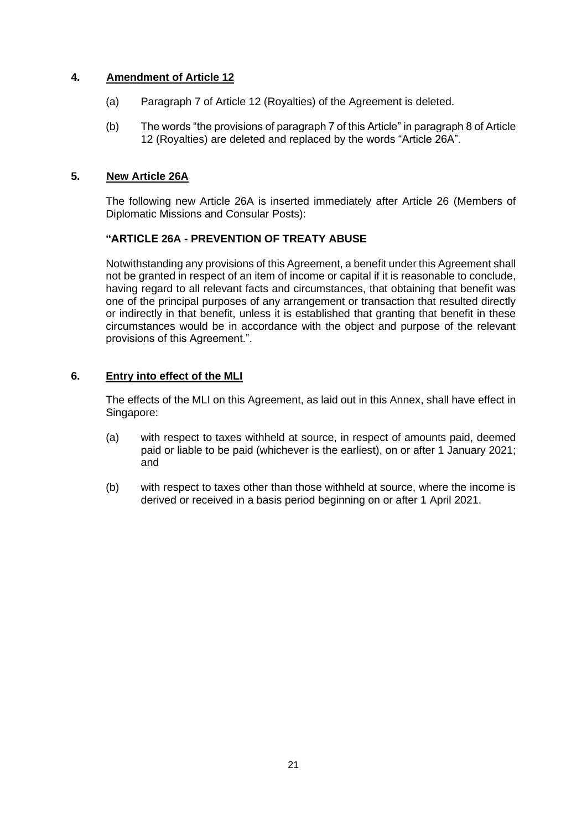## **4. Amendment of Article 12**

- (a) Paragraph 7 of Article 12 (Royalties) of the Agreement is deleted.
- (b) The words "the provisions of paragraph 7 of this Article" in paragraph 8 of Article 12 (Royalties) are deleted and replaced by the words "Article 26A".

## **5. New Article 26A**

The following new Article 26A is inserted immediately after Article 26 (Members of Diplomatic Missions and Consular Posts):

## **"ARTICLE 26A - PREVENTION OF TREATY ABUSE**

Notwithstanding any provisions of this Agreement, a benefit under this Agreement shall not be granted in respect of an item of income or capital if it is reasonable to conclude, having regard to all relevant facts and circumstances, that obtaining that benefit was one of the principal purposes of any arrangement or transaction that resulted directly or indirectly in that benefit, unless it is established that granting that benefit in these circumstances would be in accordance with the object and purpose of the relevant provisions of this Agreement.".

## **6. Entry into effect of the MLI**

The effects of the MLI on this Agreement, as laid out in this Annex, shall have effect in Singapore:

- (a) with respect to taxes withheld at source, in respect of amounts paid, deemed paid or liable to be paid (whichever is the earliest), on or after 1 January 2021; and
- (b) with respect to taxes other than those withheld at source, where the income is derived or received in a basis period beginning on or after 1 April 2021.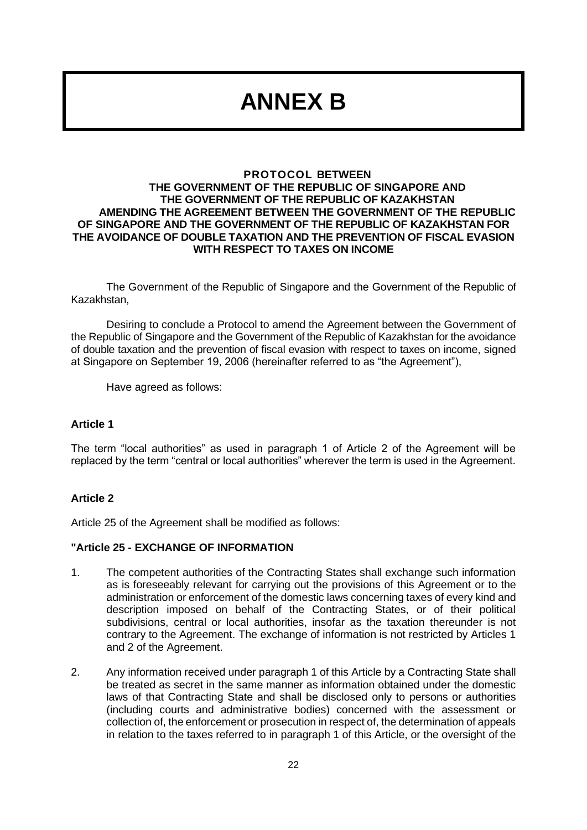## **ANNEX B**

#### **PROTOCOL BETWEEN THE GOVERNMENT OF THE REPUBLIC OF SINGAPORE AND THE GOVERNMENT OF THE REPUBLIC OF KAZAKHSTAN AMENDING THE AGREEMENT BETWEEN THE GOVERNMENT OF THE REPUBLIC OF SINGAPORE AND THE GOVERNMENT OF THE REPUBLIC OF KAZAKHSTAN FOR THE AVOIDANCE OF DOUBLE TAXATION AND THE PREVENTION OF FISCAL EVASION WITH RESPECT TO TAXES ON INCOME**

The Government of the Republic of Singapore and the Government of the Republic of Kazakhstan,

Desiring to conclude a Protocol to amend the Agreement between the Government of the Republic of Singapore and the Government of the Republic of Kazakhstan for the avoidance of double taxation and the prevention of fiscal evasion with respect to taxes on income, signed at Singapore on September 19, 2006 (hereinafter referred to as "the Agreement"),

Have agreed as follows:

## **Article 1**

The term "local authorities" as used in paragraph 1 of Article 2 of the Agreement will be replaced by the term "central or local authorities" wherever the term is used in the Agreement.

## **Article 2**

Article 25 of the Agreement shall be modified as follows:

#### **"Article 25 - EXCHANGE OF INFORMATION**

- 1. The competent authorities of the Contracting States shall exchange such information as is foreseeably relevant for carrying out the provisions of this Agreement or to the administration or enforcement of the domestic laws concerning taxes of every kind and description imposed on behalf of the Contracting States, or of their political subdivisions, central or local authorities, insofar as the taxation thereunder is not contrary to the Agreement. The exchange of information is not restricted by Articles 1 and 2 of the Agreement.
- 2. Any information received under paragraph 1 of this Article by a Contracting State shall be treated as secret in the same manner as information obtained under the domestic laws of that Contracting State and shall be disclosed only to persons or authorities (including courts and administrative bodies) concerned with the assessment or collection of, the enforcement or prosecution in respect of, the determination of appeals in relation to the taxes referred to in paragraph 1 of this Article, or the oversight of the